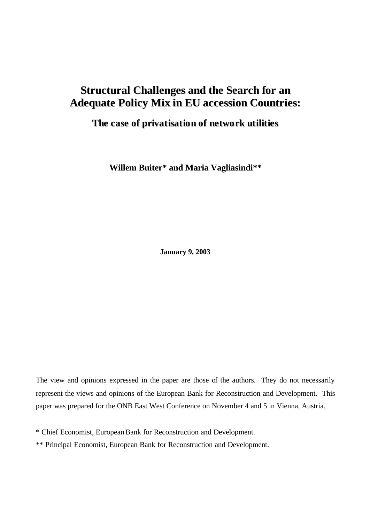# **Structural Challenges and the Search for an Adequate Policy Mix in EU accession Countries:**

## **The case of privatisation of network utilities**

**Willem Buiter\* and Maria Vagliasindi\*\***

**January 9, 2003**

The view and opinions expressed in the paper are those of the authors. They do not necessarily represent the views and opinions of the European Bank for Reconstruction and Development. This paper was prepared for the ONB East West Conference on November 4 and 5 in Vienna, Austria.

\* Chief Economist, European Bank for Reconstruction and Development.

\*\* Principal Economist, European Bank for Reconstruction and Development.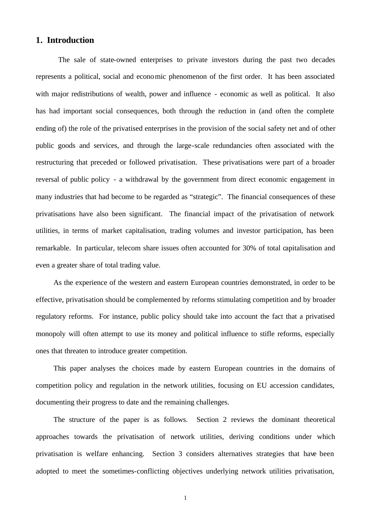## **1. Introduction**

The sale of state-owned enterprises to private investors during the past two decades represents a political, social and economic phenomenon of the first order. It has been associated with major redistributions of wealth, power and influence - economic as well as political. It also has had important social consequences, both through the reduction in (and often the complete ending of) the role of the privatised enterprises in the provision of the social safety net and of other public goods and services, and through the large-scale redundancies often associated with the restructuring that preceded or followed privatisation. These privatisations were part of a broader reversal of public policy - a withdrawal by the government from direct economic engagement in many industries that had become to be regarded as "strategic". The financial consequences of these privatisations have also been significant. The financial impact of the privatisation of network utilities, in terms of market capitalisation, trading volumes and investor participation, has been remarkable. In particular, telecom share issues often accounted for 30% of total capitalisation and even a greater share of total trading value.

As the experience of the western and eastern European countries demonstrated, in order to be effective, privatisation should be complemented by reforms stimulating competition and by broader regulatory reforms. For instance, public policy should take into account the fact that a privatised monopoly will often attempt to use its money and political influence to stifle reforms, especially ones that threaten to introduce greater competition.

This paper analyses the choices made by eastern European countries in the domains of competition policy and regulation in the network utilities, focusing on EU accession candidates, documenting their progress to date and the remaining challenges.

The structure of the paper is as follows. Section 2 reviews the dominant theoretical approaches towards the privatisation of network utilities, deriving conditions under which privatisation is welfare enhancing. Section 3 considers alternatives strategies that have been adopted to meet the sometimes-conflicting objectives underlying network utilities privatisation,

1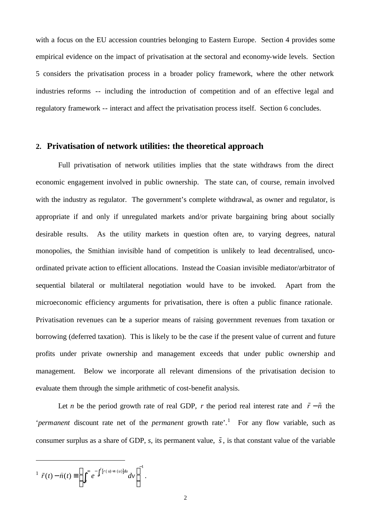with a focus on the EU accession countries belonging to Eastern Europe. Section 4 provides some empirical evidence on the impact of privatisation at the sectoral and economy-wide levels. Section 5 considers the privatisation process in a broader policy framework, where the other network industries reforms -- including the introduction of competition and of an effective legal and regulatory framework -- interact and affect the privatisation process itself. Section 6 concludes.

## **2. Privatisation of network utilities: the theoretical approach**

Full privatisation of network utilities implies that the state withdraws from the direct economic engagement involved in public ownership. The state can, of course, remain involved with the industry as regulator. The government's complete withdrawal, as owner and regulator, is appropriate if and only if unregulated markets and/or private bargaining bring about socially desirable results. As the utility markets in question often are, to varying degrees, natural monopolies, the Smithian invisible hand of competition is unlikely to lead decentralised, uncoordinated private action to efficient allocations. Instead the Coasian invisible mediator/arbitrator of sequential bilateral or multilateral negotiation would have to be invoked. Apart from the microeconomic efficiency arguments for privatisation, there is often a public finance rationale. Privatisation revenues can be a superior means of raising government revenues from taxation or borrowing (deferred taxation). This is likely to be the case if the present value of current and future profits under private ownership and management exceeds that under public ownership and management. Below we incorporate all relevant dimensions of the privatisation decision to evaluate them through the simple arithmetic of cost-benefit analysis.

Let *n* be the period growth rate of real GDP, *r* the period real interest rate and  $\tilde{r} - \tilde{n}$  the '*permanent* discount rate net of the *permanent* growth rate'.<sup>1</sup> For any flow variable, such as consumer surplus as a share of GDP,  $s$ , its permanent value,  $\tilde{s}$ , is that constant value of the variable

$$
\hat{r}(t) - \hat{n}(t) \equiv \left( \int_t^{\infty} e^{-\int_t^v [r(u) - n(u)] du} dv \right)^{-1}.
$$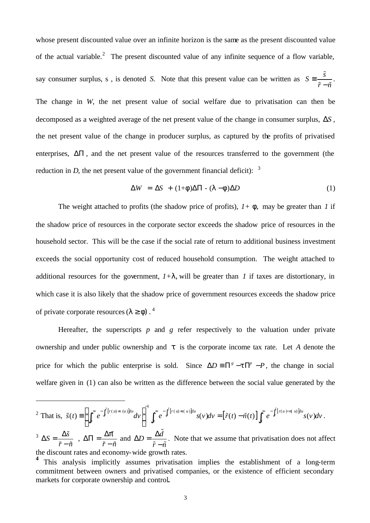whose present discounted value over an infinite horizon is the same as the present discounted value of the actual variable.<sup>2</sup> The present discounted value of any infinite sequence of a flow variable, say consumer surplus, s, is denoted *S*. Note that this present value can be written as  $S = \frac{\tilde{s}}{s}$  $\tilde{r}-\tilde{n}$ ≡ −  $\tilde{s}$  $\tilde{r}-\tilde{n}$ . The change in *W,* the net present value of social welfare due to privatisation can then be decomposed as a weighted average of the net present value of the change in consumer surplus, Δ*S* , the net present value of the change in producer surplus, as captured by the profits of privatised enterprises, ΔΠ , and the net present value of the resources transferred to the government (the reduction in *D*, the net present value of the government financial deficit):  $3$ 

$$
\Delta W = \Delta S + (1 + f)\Delta \Pi - (I - f)\Delta D \tag{1}
$$

The weight attached to profits (the shadow price of profits),  $1 + f$ , may be greater than *1* if the shadow price of resources in the corporate sector exceeds the shadow price of resources in the household sector. This will be the case if the social rate of return to additional business investment exceeds the social opportunity cost of reduced household consumption. The weight attached to additional resources for the government,  $I+I$ , will be greater than *I* if taxes are distortionary, in which case it is also likely that the shadow price of government resources exceeds the shadow price of private corporate resources (*l ³ f)* . 4

Hereafter, the superscripts *p* and *g* refer respectively to the valuation under private ownership and under public ownership and *t* is the corporate income tax rate. Let *A* denote the price for which the public enterprise is sold. Since  $\Delta D \equiv \prod^g - t \prod^p -P$ , the change in social welfare given in (1) can also be written as the difference between the social value generated by the

<sup>2</sup> That is,  $\tilde{s}(t) \equiv \int_0^\infty e^{-\int_t^t [r(u)\pi(u)]du} dv$   $\int_0^\infty e^{-\int_t^t [r(u)\pi(u)]du} s(v) dv = [\tilde{r}(t) - \tilde{n}(t)] \int_0^\infty e^{-\int_t^t [r(u) - r(u)]du} dv$  $\mathcal{L}(t) \equiv \left( \int_0^\infty e^{-\int_t^v [r(u)\cdot n(u)]du} dv \right)^{-1} \int_0^\infty e^{-\int_t^v [r(u)\cdot n(u)]du} s(v) dv = \left[ \tilde{r}(t) - \tilde{n}(t) \right]_0^\infty e^{-\int_t^v [r(u)\cdot n(u)]du} s(v)$ *v v v*  $\int_{t}^{t} [r(u) - n(u)]du$ <sub>*dy*</sub>  $\int_{t}^{\infty} \int_{t}^{t} [r(u) - n(u)]du$ <sub>**g**(y)</sub> $\int_{t}^{t} \int_{t}^{u} (r(u) - n(u))du$ <sub>*g*</sub> $\int_{t}^{u} [r(u) - n(u)]du$ *t t t s t e dv e s v dv r t n t e s v dv*  $\tilde{s}(t) \equiv \left(\int_t^{\infty} e^{-\int_t^v [r(u)\cdot n(u)]du} dv\right)^{-1} \int_t^{\infty} e^{-\int_t^v [r(u)\cdot n(u)]du} s(v) dv = [\tilde{r}(t) - \tilde{n}(t)] \int_t^{\infty} e^{-\int_t^v [r(u) - \tilde{n}(u)]du} s(v) dv.$  $\Delta S = \frac{\Delta \tilde{S}}{Z}$  $\tilde{r}-\tilde{n}$  $\Delta S = \frac{\Delta}{\Delta S}$  $\frac{\Delta \tilde{s}}{\tilde{r}-\tilde{n}}$ ,  $\tilde{r}-\tilde{n}$  $\Delta \Pi = \frac{\Delta \hat{p}}{p}$ −  $\tilde{\mathbf{z}}$  $\tilde{r}-\tilde{n}$ and  $\Delta D = \frac{\Delta d}{\Delta}$  $\tilde{r}-\tilde{n}$  $\Delta D = \frac{\Delta}{\sigma}$ −  $\tilde{l}$  $\tilde{r}-\tilde{n}$ . Note that we assume that privatisation does not affect

the discount rates and economy-wide growth rates.

<sup>&</sup>lt;sup>4</sup> This analysis implicitly assumes privatisation implies the establishment of a long-term commitment between owners and privatised companies, or the existence of efficient secondary markets for corporate ownership and control**.**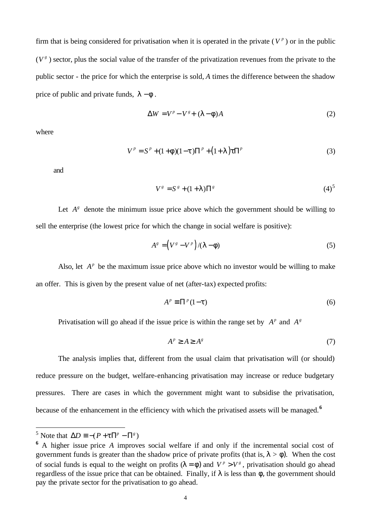firm that is being considered for privatisation when it is operated in the private  $(V^p)$  or in the public  $(V^g)$  sector, plus the social value of the transfer of the privatization revenues from the private to the public sector - the price for which the enterprise is sold, *A* times the difference between the shadow price of public and private funds,  $\mathbf{l} - \mathbf{f}$ .

$$
\Delta W = V^p - V^s + (I - f)A \tag{2}
$$

where

$$
V^{p} = S^{p} + (1 + \mathbf{f})(1 - \mathbf{t})\Pi^{p} + (1 + \mathbf{I})\mathbf{t}\Pi^{p}
$$
\n(3)

and

$$
V^g = S^g + (1+I)\Pi^g \tag{4}
$$

Let  $A^g$  denote the minimum issue price above which the government should be willing to sell the enterprise (the lowest price for which the change in social welfare is positive):

$$
A^s = (V^s - V^p) / (I - f) \tag{5}
$$

Also, let  $A^p$  be the maximum issue price above which no investor would be willing to make an offer. This is given by the present value of net (after-tax) expected profits:

$$
A^p \equiv \Pi^p (1 - t) \tag{6}
$$

Privatisation will go ahead if the issue price is within the range set by  $A^p$  and  $A^g$ 

$$
A^p \ge A \ge A^s \tag{7}
$$

The analysis implies that, different from the usual claim that privatisation will (or should) reduce pressure on the budget, welfare-enhancing privatisation may increase or reduce budgetary pressures. There are cases in which the government might want to subsidise the privatisation, because of the enhancement in the efficiency with which the privatised assets will be managed.**<sup>6</sup>**

<sup>&</sup>lt;sup>5</sup> Note that  $\Delta D \equiv -(P + t \Pi^p - \Pi^g)$ 

**<sup>6</sup>** A higher issue price *A* improves social welfare if and only if the incremental social cost of government funds is greater than the shadow price of private profits (that is,  $\mathbf{l} > \mathbf{f}$ ). When the cost of social funds is equal to the weight on profits  $(I - f)$  and  $V^p > V^s$ , privatisation should go ahead regardless of the issue price that can be obtained. Finally, if *l* is less than *f*, the government should pay the private sector for the privatisation to go ahead.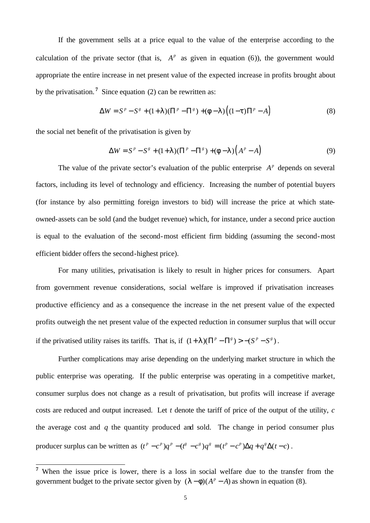If the government sells at a price equal to the value of the enterprise according to the calculation of the private sector (that is,  $A^p$  as given in equation (6)), the government would appropriate the entire increase in net present value of the expected increase in profits brought about by the privatisation. **<sup>7</sup>** Since equation (2) can be rewritten as:

$$
\Delta W = S^{p} - S^{g} + (1+I)(\Pi^{p} - \Pi^{g}) + (f - I)\left((1-t)\Pi^{p} - A\right)
$$
\n(8)

the social net benefit of the privatisation is given by

$$
\Delta W = S^{p} - S^{g} + (1+I)(\Pi^{p} - \Pi^{g}) + (f - I)\left(A^{p} - A\right)
$$
\n(9)

The value of the private sector's evaluation of the public enterprise  $A^p$  depends on several factors, including its level of technology and efficiency. Increasing the number of potential buyers (for instance by also permitting foreign investors to bid) will increase the price at which stateowned-assets can be sold (and the budget revenue) which, for instance, under a second price auction is equal to the evaluation of the second-most efficient firm bidding (assuming the second-most efficient bidder offers the second-highest price).

For many utilities, privatisation is likely to result in higher prices for consumers. Apart from government revenue considerations, social welfare is improved if privatisation increases productive efficiency and as a consequence the increase in the net present value of the expected profits outweigh the net present value of the expected reduction in consumer surplus that will occur if the privatised utility raises its tariffs. That is, if  $(1 + I)(\Pi^p - \Pi^s) > -(S^p - S^s)$ .

Further complications may arise depending on the underlying market structure in which the public enterprise was operating. If the public enterprise was operating in a competitive market, consumer surplus does not change as a result of privatisation, but profits will increase if average costs are reduced and output increased. Let *t* denote the tariff of price of the output of the utility, *c* the average cost and *q* the quantity produced and sold. The change in period consumer plus producer surplus can be written as  $(t^p - c^p)q^p - (t^g - c^g)q^g = (t^p - c^p)\Delta q + q^g\Delta(t - c)$ .

<sup>&</sup>lt;sup>7</sup> When the issue price is lower, there is a loss in social welfare due to the transfer from the government budget to the private sector given by  $(I - f)(A^p - A)$  as shown in equation (8).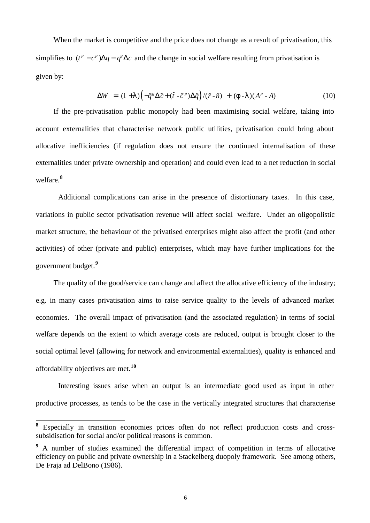When the market is competitive and the price does not change as a result of privatisation, this simplifies to  $(t^p - c^p)\Delta q - q^s \Delta c$  and the change in social welfare resulting from privatisation is given by:

$$
\Delta W = (1+I)\left(-\tilde{q}^s \Delta \tilde{c} + (\tilde{t} - \tilde{c}^p)\Delta \tilde{q}\right) / (\tilde{r} - \tilde{n}) + (f - I)(A^p - A) \tag{10}
$$

If the pre-privatisation public monopoly had been maximising social welfare, taking into account externalities that characterise network public utilities, privatisation could bring about allocative inefficiencies (if regulation does not ensure the continued internalisation of these externalities under private ownership and operation) and could even lead to a net reduction in social welfare.**<sup>8</sup>**

Additional complications can arise in the presence of distortionary taxes. In this case, variations in public sector privatisation revenue will affect social welfare. Under an oligopolistic market structure, the behaviour of the privatised enterprises might also affect the profit (and other activities) of other (private and public) enterprises, which may have further implications for the government budget.**<sup>9</sup>**

The quality of the good/service can change and affect the allocative efficiency of the industry; e.g. in many cases privatisation aims to raise service quality to the levels of advanced market economies. The overall impact of privatisation (and the associated regulation) in terms of social welfare depends on the extent to which average costs are reduced, output is brought closer to the social optimal level (allowing for network and environmental externalities), quality is enhanced and affordability objectives are met.**<sup>10</sup>**

Interesting issues arise when an output is an intermediate good used as input in other productive processes, as tends to be the case in the vertically integrated structures that characterise

**<sup>8</sup>** Especially in transition economies prices often do not reflect production costs and crosssubsidisation for social and/or political reasons is common.

<sup>&</sup>lt;sup>9</sup> A number of studies examined the differential impact of competition in terms of allocative efficiency on public and private ownership in a Stackelberg duopoly framework. See among others, De Fraja ad DelBono (1986).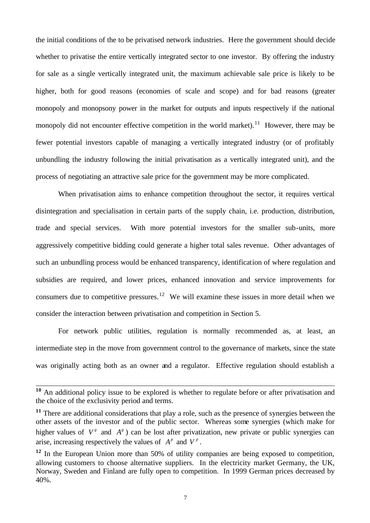the initial conditions of the to be privatised network industries. Here the government should decide whether to privatise the entire vertically integrated sector to one investor. By offering the industry for sale as a single vertically integrated unit, the maximum achievable sale price is likely to be higher, both for good reasons (economies of scale and scope) and for bad reasons (greater monopoly and monopsony power in the market for outputs and inputs respectively if the national monopoly did not encounter effective competition in the world market).<sup>11</sup> However, there may be fewer potential investors capable of managing a vertically integrated industry (or of profitably unbundling the industry following the initial privatisation as a vertically integrated unit), and the process of negotiating an attractive sale price for the government may be more complicated.

When privatisation aims to enhance competition throughout the sector, it requires vertical disintegration and specialisation in certain parts of the supply chain, i.e. production, distribution, trade and special services. With more potential investors for the smaller sub-units, more aggressively competitive bidding could generate a higher total sales revenue. Other advantages of such an unbundling process would be enhanced transparency, identification of where regulation and subsidies are required, and lower prices, enhanced innovation and service improvements for consumers due to competitive pressures.<sup>12</sup> We will examine these issues in more detail when we consider the interaction between privatisation and competition in Section 5.

For network public utilities, regulation is normally recommended as, at least, an intermediate step in the move from government control to the governance of markets, since the state was originally acting both as an owner and a regulator. Effective regulation should establish a

**<sup>10</sup>** An additional policy issue to be explored is whether to regulate before or after privatisation and the choice of the exclusivity period and terms.

**<sup>11</sup>** There are additional considerations that play a role, such as the presence of synergies between the other assets of the investor and of the public sector. Whereas some synergies (which make for higher values of  $V^g$  and  $A^g$ ) can be lost after privatization, new private or public synergies can arise, increasing respectively the values of  $A^p$  and  $V^p$ .

<sup>&</sup>lt;sup>12</sup> In the European Union more than 50% of utility companies are being exposed to competition, allowing customers to choose alternative suppliers. In the electricity market Germany, the UK, Norway, Sweden and Finland are fully open to competition. In 1999 German prices decreased by 40%.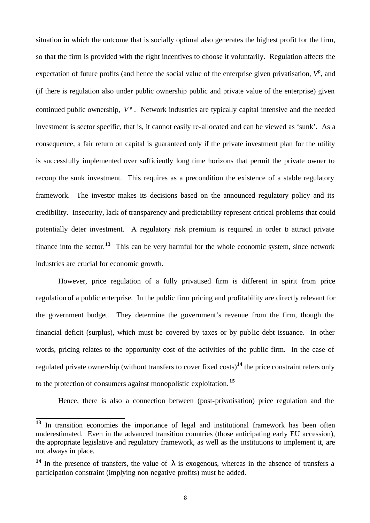situation in which the outcome that is socially optimal also generates the highest profit for the firm, so that the firm is provided with the right incentives to choose it voluntarily. Regulation affects the expectation of future profits (and hence the social value of the enterprise given privatisation,  $V^p$ , and (if there is regulation also under public ownership public and private value of the enterprise) given continued public ownership,  $V^g$ . Network industries are typically capital intensive and the needed investment is sector specific, that is, it cannot easily re-allocated and can be viewed as 'sunk'. As a consequence, a fair return on capital is guaranteed only if the private investment plan for the utility is successfully implemented over sufficiently long time horizons that permit the private owner to recoup the sunk investment. This requires as a precondition the existence of a stable regulatory framework. The investor makes its decisions based on the announced regulatory policy and its credibility. Insecurity, lack of transparency and predictability represent critical problems that could potentially deter investment. A regulatory risk premium is required in order to attract private finance into the sector.**<sup>13</sup>** This can be very harmful for the whole economic system, since network industries are crucial for economic growth.

However, price regulation of a fully privatised firm is different in spirit from price regulation of a public enterprise. In the public firm pricing and profitability are directly relevant for the government budget. They determine the government's revenue from the firm, though the financial deficit (surplus), which must be covered by taxes or by public debt issuance. In other words, pricing relates to the opportunity cost of the activities of the public firm. In the case of regulated private ownership (without transfers to cover fixed costs)**<sup>14</sup>** the price constraint refers only to the protection of consumers against monopolistic exploitation. **<sup>15</sup>**

Hence, there is also a connection between (post-privatisation) price regulation and the

**<sup>13</sup>** In transition economies the importance of legal and institutional framework has been often underestimated. Even in the advanced transition countries (those anticipating early EU accession), the appropriate legislative and regulatory framework, as well as the institutions to implement it, are not always in place.

<sup>&</sup>lt;sup>14</sup> In the presence of transfers, the value of  $\lambda$  is exogenous, whereas in the absence of transfers a participation constraint (implying non negative profits) must be added.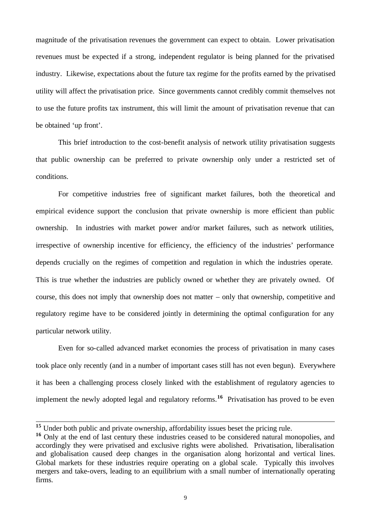magnitude of the privatisation revenues the government can expect to obtain. Lower privatisation revenues must be expected if a strong, independent regulator is being planned for the privatised industry. Likewise, expectations about the future tax regime for the profits earned by the privatised utility will affect the privatisation price. Since governments cannot credibly commit themselves not to use the future profits tax instrument, this will limit the amount of privatisation revenue that can be obtained 'up front'.

This brief introduction to the cost-benefit analysis of network utility privatisation suggests that public ownership can be preferred to private ownership only under a restricted set of conditions.

For competitive industries free of significant market failures, both the theoretical and empirical evidence support the conclusion that private ownership is more efficient than public ownership. In industries with market power and/or market failures, such as network utilities, irrespective of ownership incentive for efficiency, the efficiency of the industries' performance depends crucially on the regimes of competition and regulation in which the industries operate. This is true whether the industries are publicly owned or whether they are privately owned. Of course, this does not imply that ownership does not matter – only that ownership, competitive and regulatory regime have to be considered jointly in determining the optimal configuration for any particular network utility.

Even for so-called advanced market economies the process of privatisation in many cases took place only recently (and in a number of important cases still has not even begun). Everywhere it has been a challenging process closely linked with the establishment of regulatory agencies to implement the newly adopted legal and regulatory reforms.**<sup>16</sup>** Privatisation has proved to be even

<sup>&</sup>lt;sup>15</sup> Under both public and private ownership, affordability issues beset the pricing rule.

**<sup>16</sup>** Only at the end of last century these industries ceased to be considered natural monopolies, and accordingly they were privatised and exclusive rights were abolished. Privatisation, liberalisation and globalisation caused deep changes in the organisation along horizontal and vertical lines. Global markets for these industries require operating on a global scale. Typically this involves mergers and take-overs, leading to an equilibrium with a small number of internationally operating firms.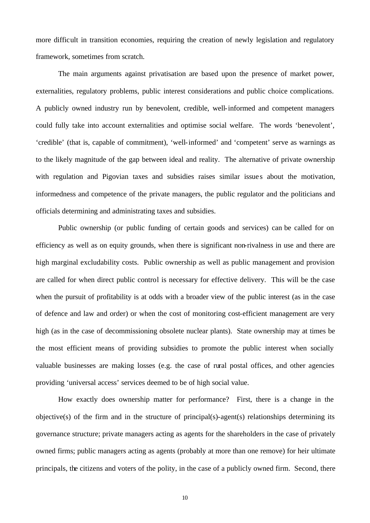more difficult in transition economies, requiring the creation of newly legislation and regulatory framework, sometimes from scratch.

The main arguments against privatisation are based upon the presence of market power, externalities, regulatory problems, public interest considerations and public choice complications. A publicly owned industry run by benevolent, credible, well-informed and competent managers could fully take into account externalities and optimise social welfare. The words 'benevolent', 'credible' (that is, capable of commitment), 'well-informed' and 'competent' serve as warnings as to the likely magnitude of the gap between ideal and reality. The alternative of private ownership with regulation and Pigovian taxes and subsidies raises similar issues about the motivation, informedness and competence of the private managers, the public regulator and the politicians and officials determining and administrating taxes and subsidies.

Public ownership (or public funding of certain goods and services) can be called for on efficiency as well as on equity grounds, when there is significant non-rivalness in use and there are high marginal excludability costs. Public ownership as well as public management and provision are called for when direct public control is necessary for effective delivery. This will be the case when the pursuit of profitability is at odds with a broader view of the public interest (as in the case of defence and law and order) or when the cost of monitoring cost-efficient management are very high (as in the case of decommissioning obsolete nuclear plants). State ownership may at times be the most efficient means of providing subsidies to promote the public interest when socially valuable businesses are making losses (e.g. the case of rural postal offices, and other agencies providing 'universal access' services deemed to be of high social value.

How exactly does ownership matter for performance? First, there is a change in the objective(s) of the firm and in the structure of principal(s)-agent(s) relationships determining its governance structure; private managers acting as agents for the shareholders in the case of privately owned firms; public managers acting as agents (probably at more than one remove) for heir ultimate principals, the citizens and voters of the polity, in the case of a publicly owned firm. Second, there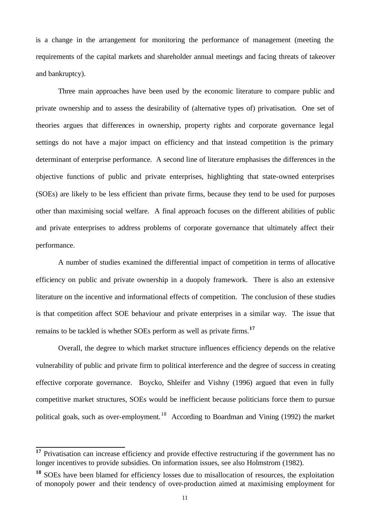is a change in the arrangement for monitoring the performance of management (meeting the requirements of the capital markets and shareholder annual meetings and facing threats of takeover and bankruptcy).

Three main approaches have been used by the economic literature to compare public and private ownership and to assess the desirability of (alternative types of) privatisation. One set of theories argues that differences in ownership, property rights and corporate governance legal settings do not have a major impact on efficiency and that instead competition is the primary determinant of enterprise performance. A second line of literature emphasises the differences in the objective functions of public and private enterprises, highlighting that state-owned enterprises (SOEs) are likely to be less efficient than private firms, because they tend to be used for purposes other than maximising social welfare. A final approach focuses on the different abilities of public and private enterprises to address problems of corporate governance that ultimately affect their performance.

A number of studies examined the differential impact of competition in terms of allocative efficiency on public and private ownership in a duopoly framework. There is also an extensive literature on the incentive and informational effects of competition. The conclusion of these studies is that competition affect SOE behaviour and private enterprises in a similar way. The issue that remains to be tackled is whether SOEs perform as well as private firms.**<sup>17</sup>**

Overall, the degree to which market structure influences efficiency depends on the relative vulnerability of public and private firm to political interference and the degree of success in creating effective corporate governance. Boycko, Shleifer and Vishny (1996) argued that even in fully competitive market structures, SOEs would be inefficient because politicians force them to pursue political goals, such as over-employment.<sup>18</sup> According to Boardman and Vining (1992) the market

 $\bf 17$ **<sup>17</sup>** Privatisation can increase efficiency and provide effective restructuring if the government has no longer incentives to provide subsidies. On information issues, see also Holmstrom (1982).

**<sup>18</sup>** SOEs have been blamed for efficiency losses due to misallocation of resources, the exploitation of monopoly power and their tendency of over-production aimed at maximising employment for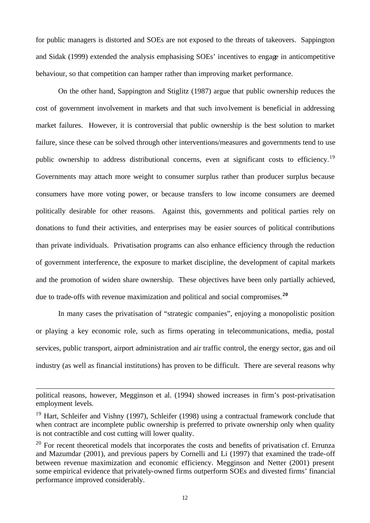for public managers is distorted and SOEs are not exposed to the threats of takeovers. Sappington and Sidak (1999) extended the analysis emphasising SOEs' incentives to engage in anticompetitive behaviour, so that competition can hamper rather than improving market performance.

On the other hand, Sappington and Stiglitz (1987) argue that public ownership reduces the cost of government involvement in markets and that such involvement is beneficial in addressing market failures. However, it is controversial that public ownership is the best solution to market failure, since these can be solved through other interventions/measures and governments tend to use public ownership to address distributional concerns, even at significant costs to efficiency.<sup>19</sup> Governments may attach more weight to consumer surplus rather than producer surplus because consumers have more voting power, or because transfers to low income consumers are deemed politically desirable for other reasons. Against this, governments and political parties rely on donations to fund their activities, and enterprises may be easier sources of political contributions than private individuals. Privatisation programs can also enhance efficiency through the reduction of government interference, the exposure to market discipline, the development of capital markets and the promotion of widen share ownership. These objectives have been only partially achieved, due to trade-offs with revenue maximization and political and social compromises.**<sup>20</sup>**

In many cases the privatisation of "strategic companies", enjoying a monopolistic position or playing a key economic role, such as firms operating in telecommunications, media, postal services, public transport, airport administration and air traffic control, the energy sector, gas and oil industry (as well as financial institutions) has proven to be difficult. There are several reasons why

political reasons, however, Megginson et al. (1994) showed increases in firm's post-privatisation employment levels.

<sup>&</sup>lt;sup>19</sup> Hart, Schleifer and Vishny (1997), Schleifer (1998) using a contractual framework conclude that when contract are incomplete public ownership is preferred to private ownership only when quality is not contractible and cost cutting will lower quality.

 $20$  For recent theoretical models that incorporates the costs and benefits of privatisation cf. Errunza and Mazumdar (2001), and previous papers by Cornelli and Li (1997) that examined the trade-off between revenue maximization and economic efficiency. Megginson and Netter (2001) present some empirical evidence that privately-owned firms outperform SOEs and divested firms' financial performance improved considerably.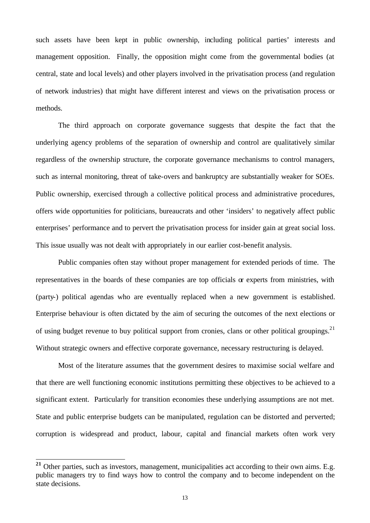such assets have been kept in public ownership, including political parties' interests and management opposition. Finally, the opposition might come from the governmental bodies (at central, state and local levels) and other players involved in the privatisation process (and regulation of network industries) that might have different interest and views on the privatisation process or methods.

The third approach on corporate governance suggests that despite the fact that the underlying agency problems of the separation of ownership and control are qualitatively similar regardless of the ownership structure, the corporate governance mechanisms to control managers, such as internal monitoring, threat of take-overs and bankruptcy are substantially weaker for SOEs. Public ownership, exercised through a collective political process and administrative procedures, offers wide opportunities for politicians, bureaucrats and other 'insiders' to negatively affect public enterprises' performance and to pervert the privatisation process for insider gain at great social loss. This issue usually was not dealt with appropriately in our earlier cost-benefit analysis.

Public companies often stay without proper management for extended periods of time. The representatives in the boards of these companies are top officials or experts from ministries, with (party-) political agendas who are eventually replaced when a new government is established. Enterprise behaviour is often dictated by the aim of securing the outcomes of the next elections or of using budget revenue to buy political support from cronies, clans or other political groupings.<sup>21</sup> Without strategic owners and effective corporate governance, necessary restructuring is delayed.

Most of the literature assumes that the government desires to maximise social welfare and that there are well functioning economic institutions permitting these objectives to be achieved to a significant extent. Particularly for transition economies these underlying assumptions are not met. State and public enterprise budgets can be manipulated, regulation can be distorted and perverted; corruption is widespread and product, labour, capital and financial markets often work very

<sup>&</sup>lt;sup>21</sup> Other parties, such as investors, management, municipalities act according to their own aims. E.g. public managers try to find ways how to control the company and to become independent on the state decisions.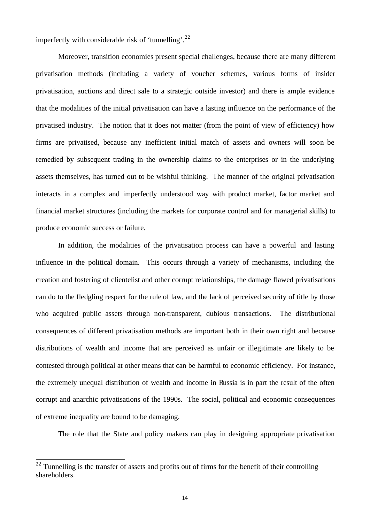imperfectly with considerable risk of 'tunnelling'.<sup>22</sup>

Moreover, transition economies present special challenges, because there are many different privatisation methods (including a variety of voucher schemes, various forms of insider privatisation, auctions and direct sale to a strategic outside investor) and there is ample evidence that the modalities of the initial privatisation can have a lasting influence on the performance of the privatised industry. The notion that it does not matter (from the point of view of efficiency) how firms are privatised, because any inefficient initial match of assets and owners will soon be remedied by subsequent trading in the ownership claims to the enterprises or in the underlying assets themselves, has turned out to be wishful thinking. The manner of the original privatisation interacts in a complex and imperfectly understood way with product market, factor market and financial market structures (including the markets for corporate control and for managerial skills) to produce economic success or failure.

In addition, the modalities of the privatisation process can have a powerful and lasting influence in the political domain. This occurs through a variety of mechanisms, including the creation and fostering of clientelist and other corrupt relationships, the damage flawed privatisations can do to the fledgling respect for the rule of law, and the lack of perceived security of title by those who acquired public assets through non-transparent, dubious transactions. The distributional consequences of different privatisation methods are important both in their own right and because distributions of wealth and income that are perceived as unfair or illegitimate are likely to be contested through political at other means that can be harmful to economic efficiency. For instance, the extremely unequal distribution of wealth and income in Russia is in part the result of the often corrupt and anarchic privatisations of the 1990s. The social, political and economic consequences of extreme inequality are bound to be damaging.

The role that the State and policy makers can play in designing appropriate privatisation

 $22$  Tunnelling is the transfer of assets and profits out of firms for the benefit of their controlling shareholders.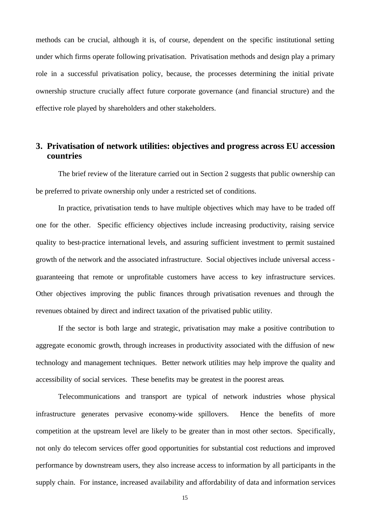methods can be crucial, although it is, of course, dependent on the specific institutional setting under which firms operate following privatisation. Privatisation methods and design play a primary role in a successful privatisation policy, because, the processes determining the initial private ownership structure crucially affect future corporate governance (and financial structure) and the effective role played by shareholders and other stakeholders.

## **3. Privatisation of network utilities: objectives and progress across EU accession countries**

The brief review of the literature carried out in Section 2 suggests that public ownership can be preferred to private ownership only under a restricted set of conditions.

In practice, privatisation tends to have multiple objectives which may have to be traded off one for the other. Specific efficiency objectives include increasing productivity, raising service quality to best-practice international levels, and assuring sufficient investment to permit sustained growth of the network and the associated infrastructure. Social objectives include universal access guaranteeing that remote or unprofitable customers have access to key infrastructure services. Other objectives improving the public finances through privatisation revenues and through the revenues obtained by direct and indirect taxation of the privatised public utility.

If the sector is both large and strategic, privatisation may make a positive contribution to aggregate economic growth, through increases in productivity associated with the diffusion of new technology and management techniques. Better network utilities may help improve the quality and accessibility of social services. These benefits may be greatest in the poorest areas.

Telecommunications and transport are typical of network industries whose physical infrastructure generates pervasive economy-wide spillovers. Hence the benefits of more competition at the upstream level are likely to be greater than in most other sectors. Specifically, not only do telecom services offer good opportunities for substantial cost reductions and improved performance by downstream users, they also increase access to information by all participants in the supply chain. For instance, increased availability and affordability of data and information services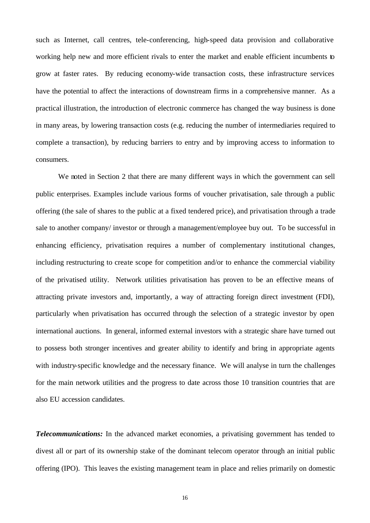such as Internet, call centres, tele-conferencing, high-speed data provision and collaborative working help new and more efficient rivals to enter the market and enable efficient incumbents to grow at faster rates. By reducing economy-wide transaction costs, these infrastructure services have the potential to affect the interactions of downstream firms in a comprehensive manner. As a practical illustration, the introduction of electronic commerce has changed the way business is done in many areas, by lowering transaction costs (e.g. reducing the number of intermediaries required to complete a transaction), by reducing barriers to entry and by improving access to information to consumers.

We noted in Section 2 that there are many different ways in which the government can sell public enterprises. Examples include various forms of voucher privatisation, sale through a public offering (the sale of shares to the public at a fixed tendered price), and privatisation through a trade sale to another company/ investor or through a management/employee buy out. To be successful in enhancing efficiency, privatisation requires a number of complementary institutional changes, including restructuring to create scope for competition and/or to enhance the commercial viability of the privatised utility. Network utilities privatisation has proven to be an effective means of attracting private investors and, importantly, a way of attracting foreign direct investment (FDI), particularly when privatisation has occurred through the selection of a strategic investor by open international auctions. In general, informed external investors with a strategic share have turned out to possess both stronger incentives and greater ability to identify and bring in appropriate agents with industry-specific knowledge and the necessary finance. We will analyse in turn the challenges for the main network utilities and the progress to date across those 10 transition countries that are also EU accession candidates.

*Telecommunications:* In the advanced market economies, a privatising government has tended to divest all or part of its ownership stake of the dominant telecom operator through an initial public offering (IPO). This leaves the existing management team in place and relies primarily on domestic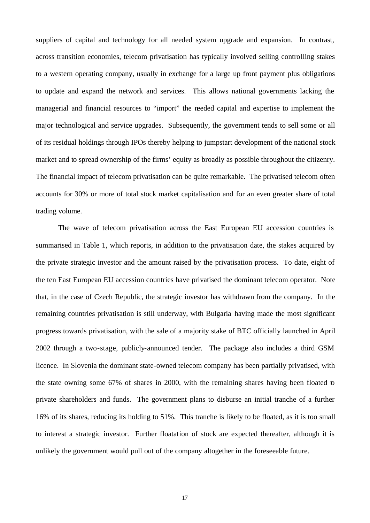suppliers of capital and technology for all needed system upgrade and expansion. In contrast, across transition economies, telecom privatisation has typically involved selling controlling stakes to a western operating company, usually in exchange for a large up front payment plus obligations to update and expand the network and services. This allows national governments lacking the managerial and financial resources to "import" the needed capital and expertise to implement the major technological and service upgrades. Subsequently, the government tends to sell some or all of its residual holdings through IPOs thereby helping to jumpstart development of the national stock market and to spread ownership of the firms' equity as broadly as possible throughout the citizenry. The financial impact of telecom privatisation can be quite remarkable. The privatised telecom often accounts for 30% or more of total stock market capitalisation and for an even greater share of total trading volume.

The wave of telecom privatisation across the East European EU accession countries is summarised in Table 1, which reports, in addition to the privatisation date, the stakes acquired by the private strategic investor and the amount raised by the privatisation process. To date, eight of the ten East European EU accession countries have privatised the dominant telecom operator. Note that, in the case of Czech Republic, the strategic investor has withdrawn from the company. In the remaining countries privatisation is still underway, with Bulgaria having made the most significant progress towards privatisation, with the sale of a majority stake of BTC officially launched in April 2002 through a two-stage, publicly-announced tender. The package also includes a third GSM licence. In Slovenia the dominant state-owned telecom company has been partially privatised, with the state owning some 67% of shares in 2000, with the remaining shares having been floated to private shareholders and funds. The government plans to disburse an initial tranche of a further 16% of its shares, reducing its holding to 51%. This tranche is likely to be floated, as it is too small to interest a strategic investor. Further floatation of stock are expected thereafter, although it is unlikely the government would pull out of the company altogether in the foreseeable future.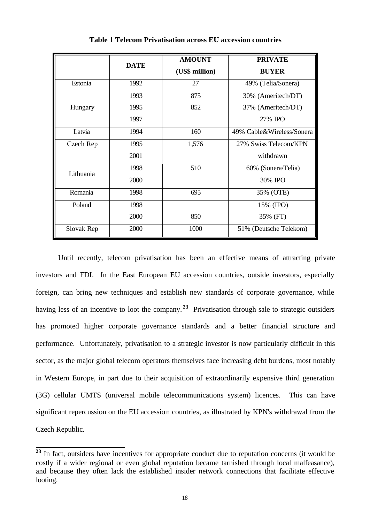|            | <b>DATE</b> | <b>AMOUNT</b><br>(US\$ million) | <b>PRIVATE</b><br><b>BUYER</b> |
|------------|-------------|---------------------------------|--------------------------------|
| Estonia    | 1992        | 27                              | 49% (Telia/Sonera)             |
|            | 1993        | 875                             | 30% (Ameritech/DT)             |
| Hungary    | 1995        | 852                             | 37% (Ameritech/DT)             |
|            | 1997        |                                 | 27% IPO                        |
| Latvia     | 1994        | 160                             | 49% Cable&Wireless/Sonera      |
| Czech Rep  | 1995        | 1,576                           | 27% Swiss Telecom/KPN          |
|            | 2001        |                                 | withdrawn                      |
| Lithuania  | 1998        | 510                             | 60% (Sonera/Telia)             |
|            | 2000        |                                 | 30% IPO                        |
| Romania    | 1998        | 695                             | 35% (OTE)                      |
| Poland     | 1998        |                                 | 15% (IPO)                      |
|            | 2000        | 850                             | 35% (FT)                       |
| Slovak Rep | 2000        | 1000                            | 51% (Deutsche Telekom)         |

**Table 1 Telecom Privatisation across EU accession countries**

Until recently, telecom privatisation has been an effective means of attracting private investors and FDI. In the East European EU accession countries, outside investors, especially foreign, can bring new techniques and establish new standards of corporate governance, while having less of an incentive to loot the company.<sup>23</sup> Privatisation through sale to strategic outsiders has promoted higher corporate governance standards and a better financial structure and performance. Unfortunately, privatisation to a strategic investor is now particularly difficult in this sector, as the major global telecom operators themselves face increasing debt burdens, most notably in Western Europe, in part due to their acquisition of extraordinarily expensive third generation (3G) cellular UMTS (universal mobile telecommunications system) licences. This can have significant repercussion on the EU accession countries, as illustrated by KPN's withdrawal from the Czech Republic.

<sup>&</sup>lt;sup>23</sup> In fact, outsiders have incentives for appropriate conduct due to reputation concerns (it would be costly if a wider regional or even global reputation became tarnished through local malfeasance), and because they often lack the established insider network connections that facilitate effective looting.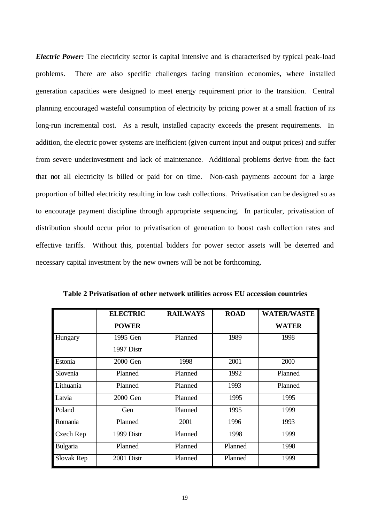*Electric Power:* The electricity sector is capital intensive and is characterised by typical peak-load problems. There are also specific challenges facing transition economies, where installed generation capacities were designed to meet energy requirement prior to the transition. Central planning encouraged wasteful consumption of electricity by pricing power at a small fraction of its long-run incremental cost. As a result, installed capacity exceeds the present requirements. In addition, the electric power systems are inefficient (given current input and output prices) and suffer from severe underinvestment and lack of maintenance. Additional problems derive from the fact that not all electricity is billed or paid for on time. Non-cash payments account for a large proportion of billed electricity resulting in low cash collections. Privatisation can be designed so as to encourage payment discipline through appropriate sequencing. In particular, privatisation of distribution should occur prior to privatisation of generation to boost cash collection rates and effective tariffs. Without this, potential bidders for power sector assets will be deterred and necessary capital investment by the new owners will be not be forthcoming.

|            | <b>ELECTRIC</b> | <b>RAILWAYS</b> | <b>ROAD</b> | <b>WATER/WASTE</b> |
|------------|-----------------|-----------------|-------------|--------------------|
|            | <b>POWER</b>    |                 |             | <b>WATER</b>       |
| Hungary    | 1995 Gen        | Planned         | 1989        | 1998               |
|            | 1997 Distr      |                 |             |                    |
| Estonia    | 2000 Gen        | 1998            | 2001        | 2000               |
| Slovenia   | Planned         | Planned         | 1992        | Planned            |
| Lithuania  | Planned         | Planned         | 1993        | Planned            |
| Latvia     | 2000 Gen        | Planned         | 1995        | 1995               |
| Poland     | <b>Gen</b>      | Planned         | 1995        | 1999               |
| Romania    | Planned         | 2001            | 1996        | 1993               |
| Czech Rep  | 1999 Distr      | Planned         | 1998        | 1999               |
| Bulgaria   | Planned         | Planned         | Planned     | 1998               |
| Slovak Rep | 2001 Distr      | Planned         | Planned     | 1999               |

**Table 2 Privatisation of other network utilities across EU accession countries**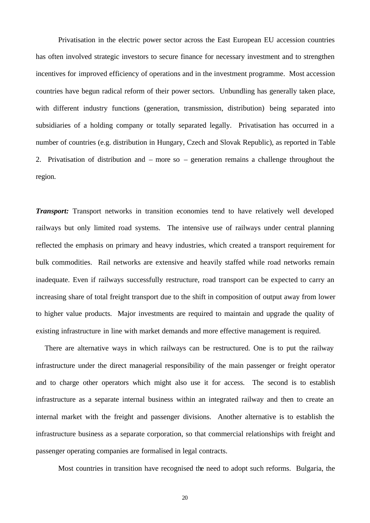Privatisation in the electric power sector across the East European EU accession countries has often involved strategic investors to secure finance for necessary investment and to strengthen incentives for improved efficiency of operations and in the investment programme. Most accession countries have begun radical reform of their power sectors. Unbundling has generally taken place, with different industry functions (generation, transmission, distribution) being separated into subsidiaries of a holding company or totally separated legally. Privatisation has occurred in a number of countries (e.g. distribution in Hungary, Czech and Slovak Republic), as reported in Table 2. Privatisation of distribution and – more so – generation remains a challenge throughout the region.

*Transport:* Transport networks in transition economies tend to have relatively well developed railways but only limited road systems. The intensive use of railways under central planning reflected the emphasis on primary and heavy industries, which created a transport requirement for bulk commodities. Rail networks are extensive and heavily staffed while road networks remain inadequate. Even if railways successfully restructure, road transport can be expected to carry an increasing share of total freight transport due to the shift in composition of output away from lower to higher value products. Major investments are required to maintain and upgrade the quality of existing infrastructure in line with market demands and more effective management is required.

There are alternative ways in which railways can be restructured. One is to put the railway infrastructure under the direct managerial responsibility of the main passenger or freight operator and to charge other operators which might also use it for access. The second is to establish infrastructure as a separate internal business within an integrated railway and then to create an internal market with the freight and passenger divisions. Another alternative is to establish the infrastructure business as a separate corporation, so that commercial relationships with freight and passenger operating companies are formalised in legal contracts.

Most countries in transition have recognised the need to adopt such reforms. Bulgaria, the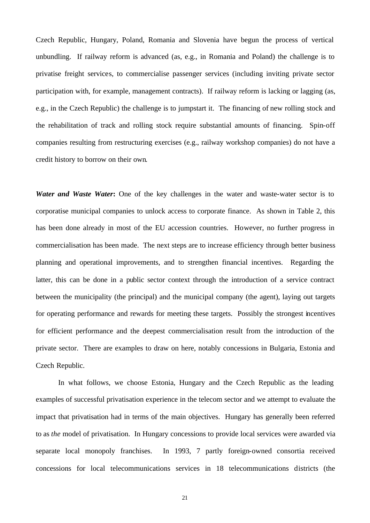Czech Republic, Hungary, Poland, Romania and Slovenia have begun the process of vertical unbundling. If railway reform is advanced (as, e.g., in Romania and Poland) the challenge is to privatise freight services, to commercialise passenger services (including inviting private sector participation with, for example, management contracts). If railway reform is lacking or lagging (as, e.g., in the Czech Republic) the challenge is to jumpstart it. The financing of new rolling stock and the rehabilitation of track and rolling stock require substantial amounts of financing. Spin-off companies resulting from restructuring exercises (e.g., railway workshop companies) do not have a credit history to borrow on their own.

*Water and Waste Water***:** One of the key challenges in the water and waste-water sector is to corporatise municipal companies to unlock access to corporate finance. As shown in Table 2, this has been done already in most of the EU accession countries. However, no further progress in commercialisation has been made. The next steps are to increase efficiency through better business planning and operational improvements, and to strengthen financial incentives. Regarding the latter, this can be done in a public sector context through the introduction of a service contract between the municipality (the principal) and the municipal company (the agent), laying out targets for operating performance and rewards for meeting these targets. Possibly the strongest incentives for efficient performance and the deepest commercialisation result from the introduction of the private sector. There are examples to draw on here, notably concessions in Bulgaria, Estonia and Czech Republic.

In what follows, we choose Estonia, Hungary and the Czech Republic as the leading examples of successful privatisation experience in the telecom sector and we attempt to evaluate the impact that privatisation had in terms of the main objectives. Hungary has generally been referred to as *the* model of privatisation. In Hungary concessions to provide local services were awarded via separate local monopoly franchises. In 1993, 7 partly foreign-owned consortia received concessions for local telecommunications services in 18 telecommunications districts (the

21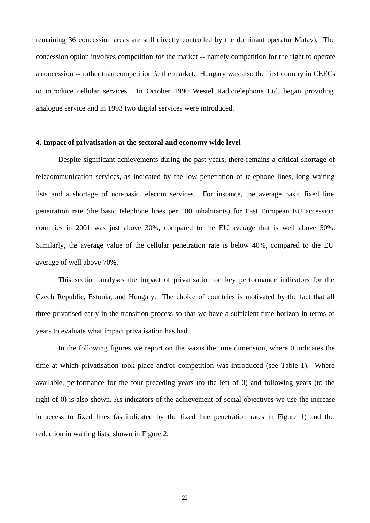remaining 36 concession areas are still directly controlled by the dominant operator Matav). The concession option involves competition *for* the market -- namely competition for the right to operate a concession -- rather than competition *in* the market. Hungary was also the first country in CEECs to introduce cellular services. In October 1990 Westel Radiotelephone Ltd. began providing analogue service and in 1993 two digital services were introduced.

#### **4. Impact of privatisation at the sectoral and economy wide level**

Despite significant achievements during the past years, there remains a critical shortage of telecommunication services, as indicated by the low penetration of telephone lines, long waiting lists and a shortage of non-basic telecom services. For instance, the average basic fixed line penetration rate (the basic telephone lines per 100 inhabitants) for East European EU accession countries in 2001 was just above 30%, compared to the EU average that is well above 50%. Similarly, the average value of the cellular penetration rate is below 40%, compared to the EU average of well above 70%.

This section analyses the impact of privatisation on key performance indicators for the Czech Republic, Estonia, and Hungary. The choice of countries is motivated by the fact that all three privatised early in the transition process so that we have a sufficient time horizon in terms of years to evaluate what impact privatisation has had.

In the following figures we report on the x-axis the time dimension, where 0 indicates the time at which privatisation took place and/or competition was introduced (see Table 1). Where available, performance for the four preceding years (to the left of 0) and following years (to the right of 0) is also shown. As indicators of the achievement of social objectives we use the increase in access to fixed lines (as indicated by the fixed line penetration rates in Figure 1) and the reduction in waiting lists, shown in Figure 2.

22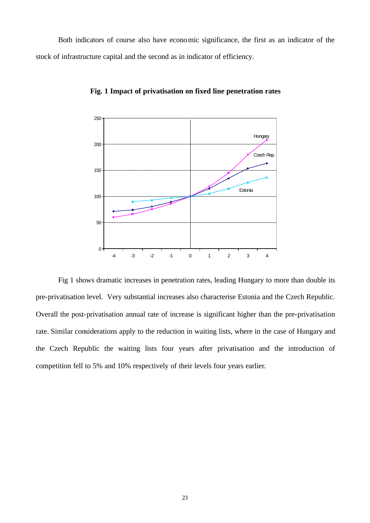Both indicators of course also have economic significance, the first as an indicator of the stock of infrastructure capital and the second as in indicator of efficiency.



**Fig. 1 Impact of privatisation on fixed line penetration rates**

Fig 1 shows dramatic increases in penetration rates, leading Hungary to more than double its pre-privatisation level. Very substantial increases also characterise Estonia and the Czech Republic. Overall the post-privatisation annual rate of increase is significant higher than the pre-privatisation rate. Similar considerations apply to the reduction in waiting lists, where in the case of Hungary and the Czech Republic the waiting lists four years after privatisation and the introduction of competition fell to 5% and 10% respectively of their levels four years earlier.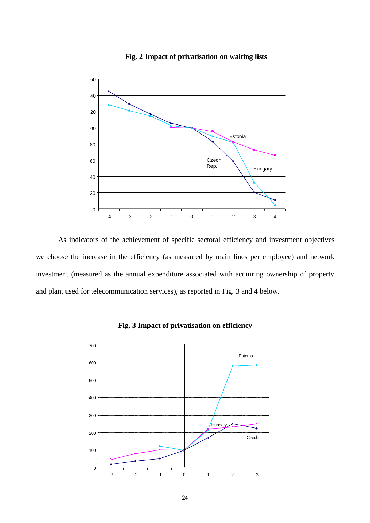

## **Fig. 2 Impact of privatisation on waiting lists**

As indicators of the achievement of specific sectoral efficiency and investment objectives we choose the increase in the efficiency (as measured by main lines per employee) and network investment (measured as the annual expenditure associated with acquiring ownership of property and plant used for telecommunication services), as reported in Fig. 3 and 4 below.



**Fig. 3 Impact of privatisation on efficiency**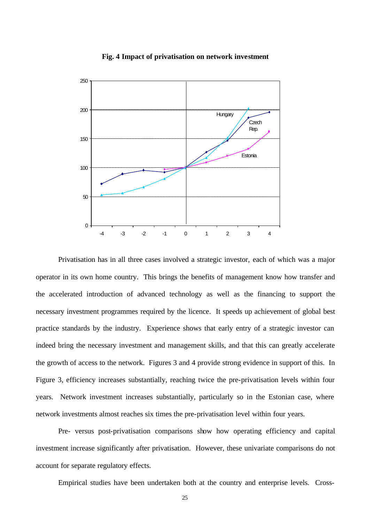

#### **Fig. 4 Impact of privatisation on network investment**

Privatisation has in all three cases involved a strategic investor, each of which was a major operator in its own home country. This brings the benefits of management know how transfer and the accelerated introduction of advanced technology as well as the financing to support the necessary investment programmes required by the licence. It speeds up achievement of global best practice standards by the industry. Experience shows that early entry of a strategic investor can indeed bring the necessary investment and management skills, and that this can greatly accelerate the growth of access to the network. Figures 3 and 4 provide strong evidence in support of this. In Figure 3, efficiency increases substantially, reaching twice the pre-privatisation levels within four years. Network investment increases substantially, particularly so in the Estonian case, where network investments almost reaches six times the pre-privatisation level within four years.

Pre- versus post-privatisation comparisons show how operating efficiency and capital investment increase significantly after privatisation. However, these univariate comparisons do not account for separate regulatory effects.

Empirical studies have been undertaken both at the country and enterprise levels. Cross-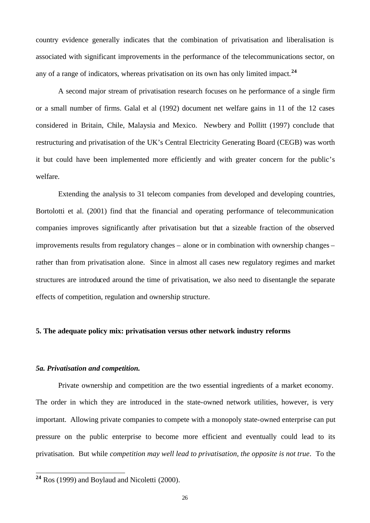country evidence generally indicates that the combination of privatisation and liberalisation is associated with significant improvements in the performance of the telecommunications sector, on any of a range of indicators, whereas privatisation on its own has only limited impact.**<sup>24</sup>**

A second major stream of privatisation research focuses on he performance of a single firm or a small number of firms. Galal et al (1992) document net welfare gains in 11 of the 12 cases considered in Britain, Chile, Malaysia and Mexico. Newbery and Pollitt (1997) conclude that restructuring and privatisation of the UK's Central Electricity Generating Board (CEGB) was worth it but could have been implemented more efficiently and with greater concern for the public's welfare.

Extending the analysis to 31 telecom companies from developed and developing countries, Bortolotti et al. (2001) find that the financial and operating performance of telecommunication companies improves significantly after privatisation but that a sizeable fraction of the observed improvements results from regulatory changes – alone or in combination with ownership changes – rather than from privatisation alone. Since in almost all cases new regulatory regimes and market structures are introduced around the time of privatisation, we also need to disentangle the separate effects of competition, regulation and ownership structure.

## **5. The adequate policy mix: privatisation versus other network industry reforms**

#### *5a. Privatisation and competition.*

l

Private ownership and competition are the two essential ingredients of a market economy. The order in which they are introduced in the state-owned network utilities, however, is very important. Allowing private companies to compete with a monopoly state-owned enterprise can put pressure on the public enterprise to become more efficient and eventually could lead to its privatisation. But while *competition may well lead to privatisation, the opposite is not true*. To the

**<sup>24</sup>** Ros (1999) and Boylaud and Nicoletti (2000).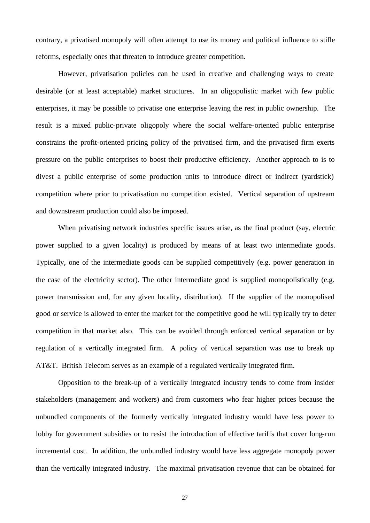contrary, a privatised monopoly will often attempt to use its money and political influence to stifle reforms, especially ones that threaten to introduce greater competition.

However, privatisation policies can be used in creative and challenging ways to create desirable (or at least acceptable) market structures. In an oligopolistic market with few public enterprises, it may be possible to privatise one enterprise leaving the rest in public ownership. The result is a mixed public-private oligopoly where the social welfare-oriented public enterprise constrains the profit-oriented pricing policy of the privatised firm, and the privatised firm exerts pressure on the public enterprises to boost their productive efficiency. Another approach to is to divest a public enterprise of some production units to introduce direct or indirect (yardstick) competition where prior to privatisation no competition existed. Vertical separation of upstream and downstream production could also be imposed.

When privatising network industries specific issues arise, as the final product (say, electric power supplied to a given locality) is produced by means of at least two intermediate goods. Typically, one of the intermediate goods can be supplied competitively (e.g. power generation in the case of the electricity sector). The other intermediate good is supplied monopolistically (e.g. power transmission and, for any given locality, distribution). If the supplier of the monopolised good or service is allowed to enter the market for the competitive good he will typically try to deter competition in that market also. This can be avoided through enforced vertical separation or by regulation of a vertically integrated firm. A policy of vertical separation was use to break up AT&T. British Telecom serves as an example of a regulated vertically integrated firm.

Opposition to the break-up of a vertically integrated industry tends to come from insider stakeholders (management and workers) and from customers who fear higher prices because the unbundled components of the formerly vertically integrated industry would have less power to lobby for government subsidies or to resist the introduction of effective tariffs that cover long-run incremental cost. In addition, the unbundled industry would have less aggregate monopoly power than the vertically integrated industry. The maximal privatisation revenue that can be obtained for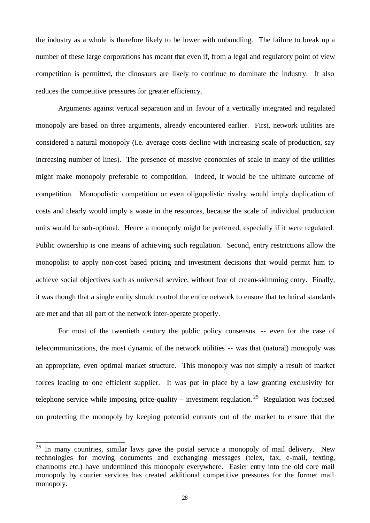the industry as a whole is therefore likely to be lower with unbundling. The failure to break up a number of these large corporations has meant that even if, from a legal and regulatory point of view competition is permitted, the dinosaurs are likely to continue to dominate the industry. It also reduces the competitive pressures for greater efficiency.

Arguments against vertical separation and in favour of a vertically integrated and regulated monopoly are based on three arguments, already encountered earlier. First, network utilities are considered a natural monopoly (i.e. average costs decline with increasing scale of production, say increasing number of lines). The presence of massive economies of scale in many of the utilities might make monopoly preferable to competition. Indeed, it would be the ultimate outcome of competition. Monopolistic competition or even oligopolistic rivalry would imply duplication of costs and clearly would imply a waste in the resources, because the scale of individual production units would be sub-optimal. Hence a monopoly might be preferred, especially if it were regulated. Public ownership is one means of achieving such regulation. Second, entry restrictions allow the monopolist to apply non-cost based pricing and investment decisions that would permit him to achieve social objectives such as universal service, without fear of cream-skimming entry. Finally, it was though that a single entity should control the entire network to ensure that technical standards are met and that all part of the network inter-operate properly.

For most of the twentieth century the public policy consensus -- even for the case of telecommunications, the most dynamic of the network utilities -- was that (natural) monopoly was an appropriate, even optimal market structure. This monopoly was not simply a result of market forces leading to one efficient supplier. It was put in place by a law granting exclusivity for telephone service while imposing price-quality – investment regulation.<sup>25</sup> Regulation was focused on protecting the monopoly by keeping potential entrants out of the market to ensure that the

 $25$  In many countries, similar laws gave the postal service a monopoly of mail delivery. New technologies for moving documents and exchanging messages (telex, fax, e-mail, texting, chatrooms etc.) have undermined this monopoly everywhere. Easier entry into the old core mail monopoly by courier services has created additional competitive pressures for the former mail monopoly.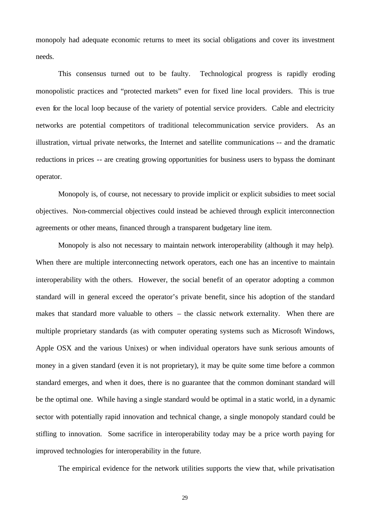monopoly had adequate economic returns to meet its social obligations and cover its investment needs.

This consensus turned out to be faulty. Technological progress is rapidly eroding monopolistic practices and "protected markets" even for fixed line local providers. This is true even for the local loop because of the variety of potential service providers. Cable and electricity networks are potential competitors of traditional telecommunication service providers. As an illustration, virtual private networks, the Internet and satellite communications -- and the dramatic reductions in prices -- are creating growing opportunities for business users to bypass the dominant operator.

Monopoly is, of course, not necessary to provide implicit or explicit subsidies to meet social objectives. Non-commercial objectives could instead be achieved through explicit interconnection agreements or other means, financed through a transparent budgetary line item.

Monopoly is also not necessary to maintain network interoperability (although it may help). When there are multiple interconnecting network operators, each one has an incentive to maintain interoperability with the others. However, the social benefit of an operator adopting a common standard will in general exceed the operator's private benefit, since his adoption of the standard makes that standard more valuable to others – the classic network externality. When there are multiple proprietary standards (as with computer operating systems such as Microsoft Windows, Apple OSX and the various Unixes) or when individual operators have sunk serious amounts of money in a given standard (even it is not proprietary), it may be quite some time before a common standard emerges, and when it does, there is no guarantee that the common dominant standard will be the optimal one. While having a single standard would be optimal in a static world, in a dynamic sector with potentially rapid innovation and technical change, a single monopoly standard could be stifling to innovation. Some sacrifice in interoperability today may be a price worth paying for improved technologies for interoperability in the future.

The empirical evidence for the network utilities supports the view that, while privatisation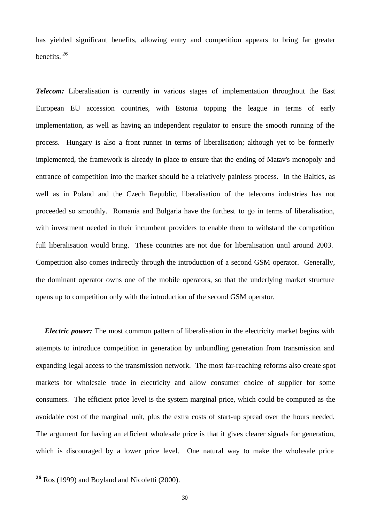has yielded significant benefits, allowing entry and competition appears to bring far greater benefits. **<sup>26</sup>**

*Telecom:* Liberalisation is currently in various stages of implementation throughout the East European EU accession countries, with Estonia topping the league in terms of early implementation, as well as having an independent regulator to ensure the smooth running of the process. Hungary is also a front runner in terms of liberalisation; although yet to be formerly implemented, the framework is already in place to ensure that the ending of Matav's monopoly and entrance of competition into the market should be a relatively painless process. In the Baltics, as well as in Poland and the Czech Republic, liberalisation of the telecoms industries has not proceeded so smoothly. Romania and Bulgaria have the furthest to go in terms of liberalisation, with investment needed in their incumbent providers to enable them to withstand the competition full liberalisation would bring. These countries are not due for liberalisation until around 2003. Competition also comes indirectly through the introduction of a second GSM operator. Generally, the dominant operator owns one of the mobile operators, so that the underlying market structure opens up to competition only with the introduction of the second GSM operator.

*Electric power:* The most common pattern of liberalisation in the electricity market begins with attempts to introduce competition in generation by unbundling generation from transmission and expanding legal access to the transmission network. The most far-reaching reforms also create spot markets for wholesale trade in electricity and allow consumer choice of supplier for some consumers. The efficient price level is the system marginal price, which could be computed as the avoidable cost of the marginal unit, plus the extra costs of start-up spread over the hours needed. The argument for having an efficient wholesale price is that it gives clearer signals for generation, which is discouraged by a lower price level. One natural way to make the wholesale price

**<sup>26</sup>** Ros (1999) and Boylaud and Nicoletti (2000).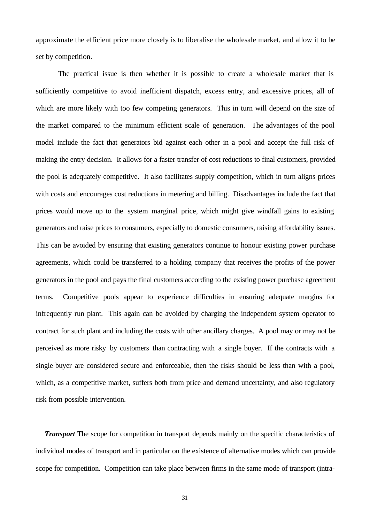approximate the efficient price more closely is to liberalise the wholesale market, and allow it to be set by competition.

The practical issue is then whether it is possible to create a wholesale market that is sufficiently competitive to avoid inefficient dispatch, excess entry, and excessive prices, all of which are more likely with too few competing generators. This in turn will depend on the size of the market compared to the minimum efficient scale of generation. The advantages of the pool model include the fact that generators bid against each other in a pool and accept the full risk of making the entry decision. It allows for a faster transfer of cost reductions to final customers, provided the pool is adequately competitive. It also facilitates supply competition, which in turn aligns prices with costs and encourages cost reductions in metering and billing. Disadvantages include the fact that prices would move up to the system marginal price, which might give windfall gains to existing generators and raise prices to consumers, especially to domestic consumers, raising affordability issues. This can be avoided by ensuring that existing generators continue to honour existing power purchase agreements, which could be transferred to a holding company that receives the profits of the power generators in the pool and pays the final customers according to the existing power purchase agreement terms. Competitive pools appear to experience difficulties in ensuring adequate margins for infrequently run plant. This again can be avoided by charging the independent system operator to contract for such plant and including the costs with other ancillary charges. A pool may or may not be perceived as more risky by customers than contracting with a single buyer. If the contracts with a single buyer are considered secure and enforceable, then the risks should be less than with a pool, which, as a competitive market, suffers both from price and demand uncertainty, and also regulatory risk from possible intervention.

*Transport* The scope for competition in transport depends mainly on the specific characteristics of individual modes of transport and in particular on the existence of alternative modes which can provide scope for competition. Competition can take place between firms in the same mode of transport (intra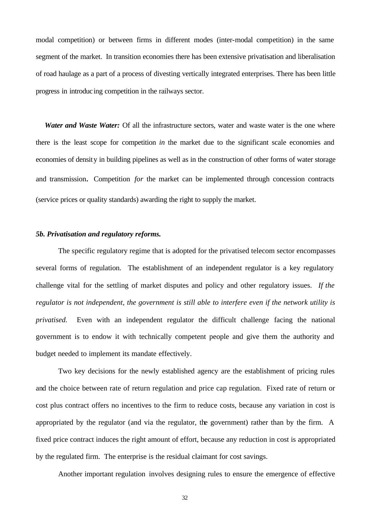modal competition) or between firms in different modes (inter-modal competition) in the same segment of the market. In transition economies there has been extensive privatisation and liberalisation of road haulage as a part of a process of divesting vertically integrated enterprises. There has been little progress in introducing competition in the railways sector.

*Water and Waste Water:* Of all the infrastructure sectors, water and waste water is the one where there is the least scope for competition *in* the market due to the significant scale economies and economies of density in building pipelines as well as in the construction of other forms of water storage and transmission. Competition *for* the market can be implemented through concession contracts (service prices or quality standards) awarding the right to supply the market.

## *5b. Privatisation and regulatory reforms.*

The specific regulatory regime that is adopted for the privatised telecom sector encompasses several forms of regulation. The establishment of an independent regulator is a key regulatory challenge vital for the settling of market disputes and policy and other regulatory issues. *If the regulator is not independent, the government is still able to interfere even if the network utility is privatised.* Even with an independent regulator the difficult challenge facing the national government is to endow it with technically competent people and give them the authority and budget needed to implement its mandate effectively.

Two key decisions for the newly established agency are the establishment of pricing rules and the choice between rate of return regulation and price cap regulation. Fixed rate of return or cost plus contract offers no incentives to the firm to reduce costs, because any variation in cost is appropriated by the regulator (and via the regulator, the government) rather than by the firm. A fixed price contract induces the right amount of effort, because any reduction in cost is appropriated by the regulated firm. The enterprise is the residual claimant for cost savings.

Another important regulation involves designing rules to ensure the emergence of effective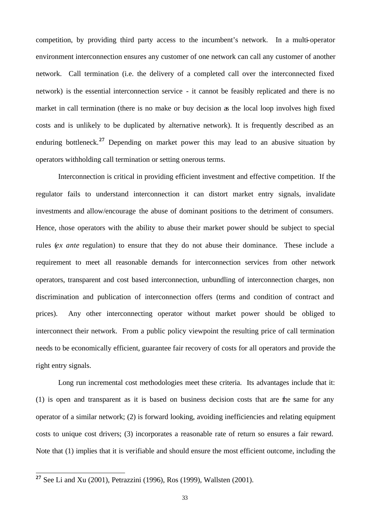competition, by providing third party access to the incumbent's network. In a multi-operator environment interconnection ensures any customer of one network can call any customer of another network. Call termination (i.e. the delivery of a completed call over the interconnected fixed network) is the essential interconnection service - it cannot be feasibly replicated and there is no market in call termination (there is no make or buy decision as the local loop involves high fixed costs and is unlikely to be duplicated by alternative network). It is frequently described as an enduring bottleneck.**<sup>27</sup>** Depending on market power this may lead to an abusive situation by operators withholding call termination or setting onerous terms.

Interconnection is critical in providing efficient investment and effective competition. If the regulator fails to understand interconnection it can distort market entry signals, invalidate investments and allow/encourage the abuse of dominant positions to the detriment of consumers. Hence, those operators with the ability to abuse their market power should be subject to special rules (*ex ante* regulation) to ensure that they do not abuse their dominance. These include a requirement to meet all reasonable demands for interconnection services from other network operators, transparent and cost based interconnection, unbundling of interconnection charges, non discrimination and publication of interconnection offers (terms and condition of contract and prices). Any other interconnecting operator without market power should be obliged to interconnect their network. From a public policy viewpoint the resulting price of call termination needs to be economically efficient, guarantee fair recovery of costs for all operators and provide the right entry signals.

Long run incremental cost methodologies meet these criteria. Its advantages include that it: (1) is open and transparent as it is based on business decision costs that are the same for any operator of a similar network; (2) is forward looking, avoiding inefficiencies and relating equipment costs to unique cost drivers; (3) incorporates a reasonable rate of return so ensures a fair reward. Note that (1) implies that it is verifiable and should ensure the most efficient outcome, including the

**<sup>27</sup>** See Li and Xu (2001), Petrazzini (1996), Ros (1999), Wallsten (2001).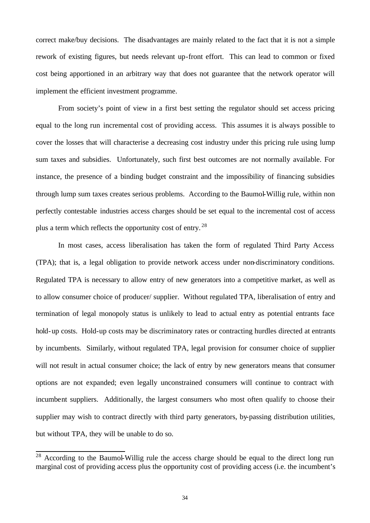correct make/buy decisions. The disadvantages are mainly related to the fact that it is not a simple rework of existing figures, but needs relevant up-front effort. This can lead to common or fixed cost being apportioned in an arbitrary way that does not guarantee that the network operator will implement the efficient investment programme.

From society's point of view in a first best setting the regulator should set access pricing equal to the long run incremental cost of providing access. This assumes it is always possible to cover the losses that will characterise a decreasing cost industry under this pricing rule using lump sum taxes and subsidies. Unfortunately, such first best outcomes are not normally available. For instance, the presence of a binding budget constraint and the impossibility of financing subsidies through lump sum taxes creates serious problems. According to the Baumol-Willig rule, within non perfectly contestable industries access charges should be set equal to the incremental cost of access plus a term which reflects the opportunity cost of entry.<sup>28</sup>

In most cases, access liberalisation has taken the form of regulated Third Party Access (TPA); that is, a legal obligation to provide network access under non-discriminatory conditions. Regulated TPA is necessary to allow entry of new generators into a competitive market, as well as to allow consumer choice of producer/ supplier. Without regulated TPA, liberalisation of entry and termination of legal monopoly status is unlikely to lead to actual entry as potential entrants face hold-up costs. Hold-up costs may be discriminatory rates or contracting hurdles directed at entrants by incumbents. Similarly, without regulated TPA, legal provision for consumer choice of supplier will not result in actual consumer choice; the lack of entry by new generators means that consumer options are not expanded; even legally unconstrained consumers will continue to contract with incumbent suppliers. Additionally, the largest consumers who most often qualify to choose their supplier may wish to contract directly with third party generators, by-passing distribution utilities, but without TPA, they will be unable to do so.

 $28$  According to the Baumol-Willig rule the access charge should be equal to the direct long run marginal cost of providing access plus the opportunity cost of providing access (i.e. the incumbent's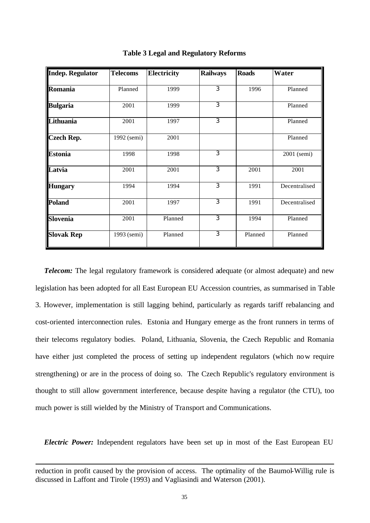| <b>Indep. Regulator</b> | <b>Telecoms</b> | <b>Electricity</b> | <b>Railways</b> | <b>Roads</b> | Water         |
|-------------------------|-----------------|--------------------|-----------------|--------------|---------------|
| Romania                 | Planned         | 1999               | $\overline{3}$  | 1996         | Planned       |
| <b>Bulgaria</b>         | 2001            | 1999               | $\overline{3}$  |              | Planned       |
| Lithuania               | 2001            | 1997               | $\overline{3}$  |              | Planned       |
| <b>Czech Rep.</b>       | 1992 (semi)     | 2001               |                 |              | Planned       |
| <b>Estonia</b>          | 1998            | 1998               | 3               |              | 2001 (semi)   |
| Latvia                  | 2001            | 2001               | $\overline{3}$  | 2001         | 2001          |
| <b>Hungary</b>          | 1994            | 1994               | $\overline{3}$  | 1991         | Decentralised |
| Poland                  | 2001            | 1997               | $\overline{3}$  | 1991         | Decentralised |
| <b>Slovenia</b>         | 2001            | Planned            | $\overline{3}$  | 1994         | Planned       |
| <b>Slovak Rep</b>       | 1993 (semi)     | Planned            | $\overline{3}$  | Planned      | Planned       |

**Table 3 Legal and Regulatory Reforms**

*Telecom:* The legal regulatory framework is considered adequate (or almost adequate) and new legislation has been adopted for all East European EU Accession countries, as summarised in Table 3. However, implementation is still lagging behind, particularly as regards tariff rebalancing and cost-oriented interconnection rules. Estonia and Hungary emerge as the front runners in terms of their telecoms regulatory bodies. Poland, Lithuania, Slovenia, the Czech Republic and Romania have either just completed the process of setting up independent regulators (which now require strengthening) or are in the process of doing so. The Czech Republic's regulatory environment is thought to still allow government interference, because despite having a regulator (the CTU), too much power is still wielded by the Ministry of Transport and Communications.

*Electric Power:* Independent regulators have been set up in most of the East European EU

 $\overline{a}$ 

reduction in profit caused by the provision of access. The optimality of the Baumol-Willig rule is discussed in Laffont and Tirole (1993) and Vagliasindi and Waterson (2001).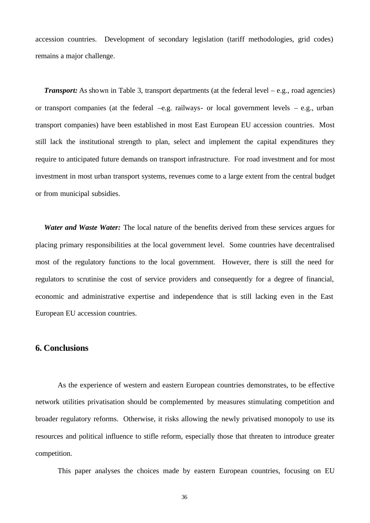accession countries. Development of secondary legislation (tariff methodologies, grid codes) remains a major challenge.

*Transport:* As shown in Table 3, transport departments (at the federal level – e.g., road agencies) or transport companies (at the federal –e.g. railways- or local government levels – e.g., urban transport companies) have been established in most East European EU accession countries. Most still lack the institutional strength to plan, select and implement the capital expenditures they require to anticipated future demands on transport infrastructure. For road investment and for most investment in most urban transport systems, revenues come to a large extent from the central budget or from municipal subsidies.

*Water and Waste Water:* The local nature of the benefits derived from these services argues for placing primary responsibilities at the local government level. Some countries have decentralised most of the regulatory functions to the local government. However, there is still the need for regulators to scrutinise the cost of service providers and consequently for a degree of financial, economic and administrative expertise and independence that is still lacking even in the East European EU accession countries.

## **6. Conclusions**

As the experience of western and eastern European countries demonstrates, to be effective network utilities privatisation should be complemented by measures stimulating competition and broader regulatory reforms. Otherwise, it risks allowing the newly privatised monopoly to use its resources and political influence to stifle reform, especially those that threaten to introduce greater competition.

This paper analyses the choices made by eastern European countries, focusing on EU

36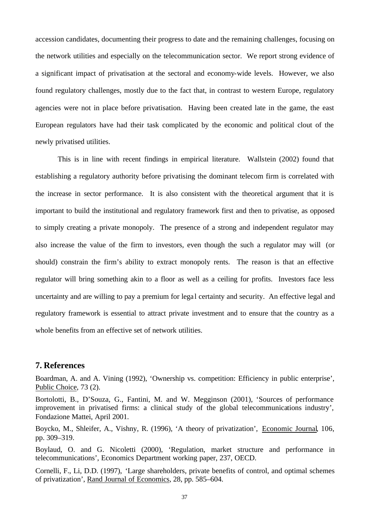accession candidates, documenting their progress to date and the remaining challenges, focusing on the network utilities and especially on the telecommunication sector. We report strong evidence of a significant impact of privatisation at the sectoral and economy-wide levels. However, we also found regulatory challenges, mostly due to the fact that, in contrast to western Europe, regulatory agencies were not in place before privatisation. Having been created late in the game, the east European regulators have had their task complicated by the economic and political clout of the newly privatised utilities.

This is in line with recent findings in empirical literature. Wallstein (2002) found that establishing a regulatory authority before privatising the dominant telecom firm is correlated with the increase in sector performance. It is also consistent with the theoretical argument that it is important to build the institutional and regulatory framework first and then to privatise, as opposed to simply creating a private monopoly. The presence of a strong and independent regulator may also increase the value of the firm to investors, even though the such a regulator may will (or should) constrain the firm's ability to extract monopoly rents. The reason is that an effective regulator will bring something akin to a floor as well as a ceiling for profits. Investors face less uncertainty and are willing to pay a premium for legal certainty and security. An effective legal and regulatory framework is essential to attract private investment and to ensure that the country as a whole benefits from an effective set of network utilities.

## **7. References**

Boardman, A. and A. Vining (1992), 'Ownership vs. competition: Efficiency in public enterprise', Public Choice, 73 (2).

Bortolotti, B., D'Souza, G., Fantini, M. and W. Megginson (2001), 'Sources of performance improvement in privatised firms: a clinical study of the global telecommunications industry', Fondazione Mattei, April 2001.

Boycko, M., Shleifer, A., Vishny, R. (1996), 'A theory of privatization', Economic Journal, 106, pp. 309–319.

Boylaud, O. and G. Nicoletti (2000), 'Regulation, market structure and performance in telecommunications', Economics Department working paper, 237, OECD.

Cornelli, F., Li, D.D. (1997), 'Large shareholders, private benefits of control, and optimal schemes of privatization', Rand Journal of Economics, 28, pp. 585–604.